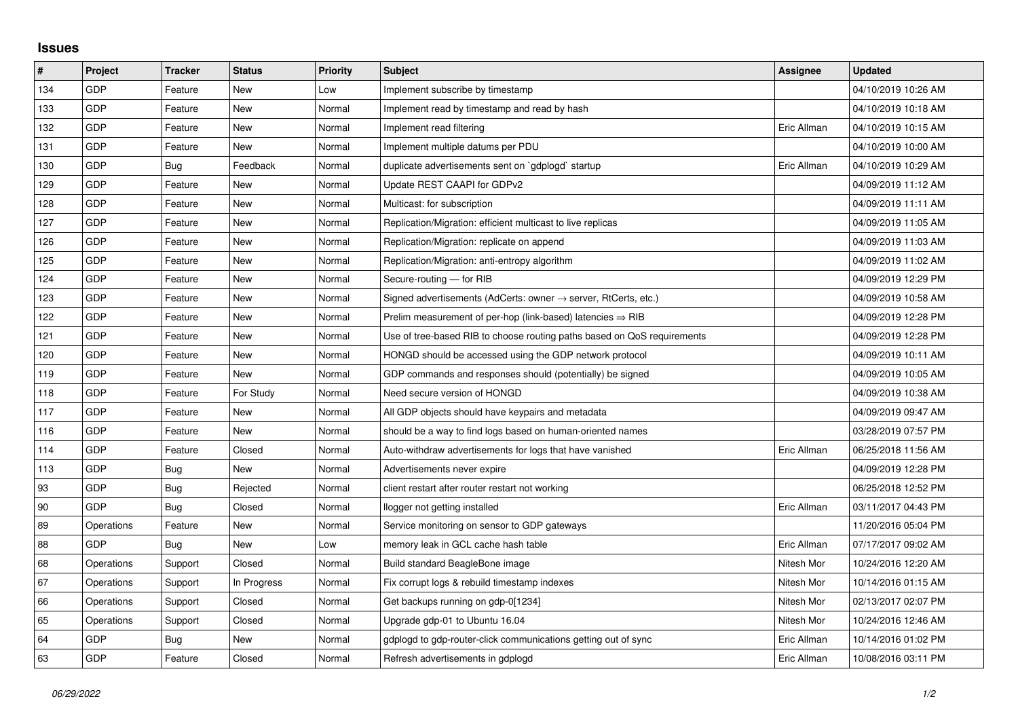## **Issues**

| #   | Project    | <b>Tracker</b> | <b>Status</b> | <b>Priority</b> | <b>Subject</b>                                                             | <b>Assignee</b> | <b>Updated</b>      |
|-----|------------|----------------|---------------|-----------------|----------------------------------------------------------------------------|-----------------|---------------------|
| 134 | GDP        | Feature        | <b>New</b>    | Low             | Implement subscribe by timestamp                                           |                 | 04/10/2019 10:26 AM |
| 133 | GDP        | Feature        | New           | Normal          | Implement read by timestamp and read by hash                               |                 | 04/10/2019 10:18 AM |
| 132 | GDP        | Feature        | New           | Normal          | Implement read filtering                                                   | Eric Allman     | 04/10/2019 10:15 AM |
| 131 | GDP        | Feature        | <b>New</b>    | Normal          | Implement multiple datums per PDU                                          |                 | 04/10/2019 10:00 AM |
| 130 | GDP        | Bug            | Feedback      | Normal          | duplicate advertisements sent on `gdplogd` startup                         | Eric Allman     | 04/10/2019 10:29 AM |
| 129 | GDP        | Feature        | New           | Normal          | Update REST CAAPI for GDPv2                                                |                 | 04/09/2019 11:12 AM |
| 128 | GDP        | Feature        | New           | Normal          | Multicast: for subscription                                                |                 | 04/09/2019 11:11 AM |
| 127 | GDP        | Feature        | <b>New</b>    | Normal          | Replication/Migration: efficient multicast to live replicas                |                 | 04/09/2019 11:05 AM |
| 126 | <b>GDP</b> | Feature        | New           | Normal          | Replication/Migration: replicate on append                                 |                 | 04/09/2019 11:03 AM |
| 125 | GDP        | Feature        | <b>New</b>    | Normal          | Replication/Migration: anti-entropy algorithm                              |                 | 04/09/2019 11:02 AM |
| 124 | GDP        | Feature        | <b>New</b>    | Normal          | Secure-routing - for RIB                                                   |                 | 04/09/2019 12:29 PM |
| 123 | GDP        | Feature        | New           | Normal          | Signed advertisements (AdCerts: owner $\rightarrow$ server, RtCerts, etc.) |                 | 04/09/2019 10:58 AM |
| 122 | GDP        | Feature        | <b>New</b>    | Normal          | Prelim measurement of per-hop (link-based) latencies $\Rightarrow$ RIB     |                 | 04/09/2019 12:28 PM |
| 121 | GDP        | Feature        | New           | Normal          | Use of tree-based RIB to choose routing paths based on QoS requirements    |                 | 04/09/2019 12:28 PM |
| 120 | GDP        | Feature        | New           | Normal          | HONGD should be accessed using the GDP network protocol                    |                 | 04/09/2019 10:11 AM |
| 119 | GDP        | Feature        | <b>New</b>    | Normal          | GDP commands and responses should (potentially) be signed                  |                 | 04/09/2019 10:05 AM |
| 118 | GDP        | Feature        | For Study     | Normal          | Need secure version of HONGD                                               |                 | 04/09/2019 10:38 AM |
| 117 | GDP        | Feature        | New           | Normal          | All GDP objects should have keypairs and metadata                          |                 | 04/09/2019 09:47 AM |
| 116 | GDP        | Feature        | <b>New</b>    | Normal          | should be a way to find logs based on human-oriented names                 |                 | 03/28/2019 07:57 PM |
| 114 | GDP        | Feature        | Closed        | Normal          | Auto-withdraw advertisements for logs that have vanished                   | Eric Allman     | 06/25/2018 11:56 AM |
| 113 | GDP        | Bug            | New           | Normal          | Advertisements never expire                                                |                 | 04/09/2019 12:28 PM |
| 93  | GDP        | <b>Bug</b>     | Rejected      | Normal          | client restart after router restart not working                            |                 | 06/25/2018 12:52 PM |
| 90  | GDP        | Bug            | Closed        | Normal          | llogger not getting installed                                              | Eric Allman     | 03/11/2017 04:43 PM |
| 89  | Operations | Feature        | New           | Normal          | Service monitoring on sensor to GDP gateways                               |                 | 11/20/2016 05:04 PM |
| 88  | GDP        | Bug            | <b>New</b>    | Low             | memory leak in GCL cache hash table                                        | Eric Allman     | 07/17/2017 09:02 AM |
| 68  | Operations | Support        | Closed        | Normal          | Build standard BeagleBone image                                            | Nitesh Mor      | 10/24/2016 12:20 AM |
| 67  | Operations | Support        | In Progress   | Normal          | Fix corrupt logs & rebuild timestamp indexes                               | Nitesh Mor      | 10/14/2016 01:15 AM |
| 66  | Operations | Support        | Closed        | Normal          | Get backups running on gdp-0[1234]                                         | Nitesh Mor      | 02/13/2017 02:07 PM |
| 65  | Operations | Support        | Closed        | Normal          | Upgrade gdp-01 to Ubuntu 16.04                                             | Nitesh Mor      | 10/24/2016 12:46 AM |
| 64  | GDP        | Bug            | New           | Normal          | gdplogd to gdp-router-click communications getting out of sync             | Eric Allman     | 10/14/2016 01:02 PM |
| 63  | GDP        | Feature        | Closed        | Normal          | Refresh advertisements in gdplogd                                          | Eric Allman     | 10/08/2016 03:11 PM |